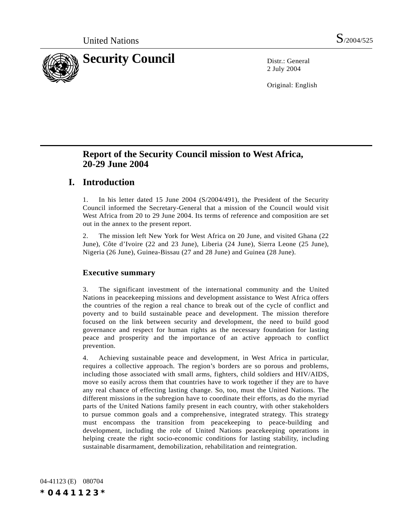

2 July 2004

Original: English

# **Report of the Security Council mission to West Africa, 20-29 June 2004**

# **I. Introduction**

1. In his letter dated 15 June 2004 (S/2004/491), the President of the Security Council informed the Secretary-General that a mission of the Council would visit West Africa from 20 to 29 June 2004. Its terms of reference and composition are set out in the annex to the present report.

2. The mission left New York for West Africa on 20 June, and visited Ghana (22 June), Côte d'Ivoire (22 and 23 June), Liberia (24 June), Sierra Leone (25 June), Nigeria (26 June), Guinea-Bissau (27 and 28 June) and Guinea (28 June).

## **Executive summary**

3. The significant investment of the international community and the United Nations in peacekeeping missions and development assistance to West Africa offers the countries of the region a real chance to break out of the cycle of conflict and poverty and to build sustainable peace and development. The mission therefore focused on the link between security and development, the need to build good governance and respect for human rights as the necessary foundation for lasting peace and prosperity and the importance of an active approach to conflict prevention.

4. Achieving sustainable peace and development, in West Africa in particular, requires a collective approach. The region's borders are so porous and problems, including those associated with small arms, fighters, child soldiers and HIV/AIDS, move so easily across them that countries have to work together if they are to have any real chance of effecting lasting change. So, too, must the United Nations. The different missions in the subregion have to coordinate their efforts, as do the myriad parts of the United Nations family present in each country, with other stakeholders to pursue common goals and a comprehensive, integrated strategy. This strategy must encompass the transition from peacekeeping to peace-building and development, including the role of United Nations peacekeeping operations in helping create the right socio-economic conditions for lasting stability, including sustainable disarmament, demobilization, rehabilitation and reintegration.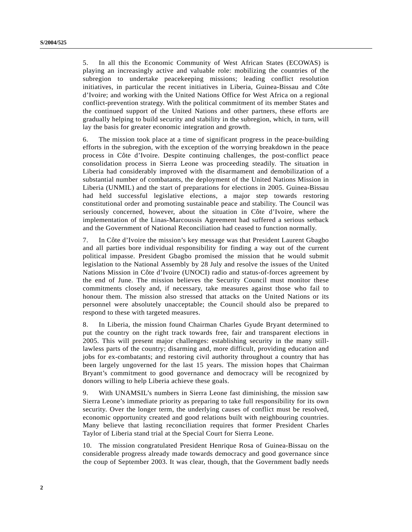5. In all this the Economic Community of West African States (ECOWAS) is playing an increasingly active and valuable role: mobilizing the countries of the subregion to undertake peacekeeping missions; leading conflict resolution initiatives, in particular the recent initiatives in Liberia, Guinea-Bissau and Côte d'Ivoire; and working with the United Nations Office for West Africa on a regional conflict-prevention strategy. With the political commitment of its member States and the continued support of the United Nations and other partners, these efforts are gradually helping to build security and stability in the subregion, which, in turn, will lay the basis for greater economic integration and growth.

6. The mission took place at a time of significant progress in the peace-building efforts in the subregion, with the exception of the worrying breakdown in the peace process in Côte d'Ivoire. Despite continuing challenges, the post-conflict peace consolidation process in Sierra Leone was proceeding steadily. The situation in Liberia had considerably improved with the disarmament and demobilization of a substantial number of combatants, the deployment of the United Nations Mission in Liberia (UNMIL) and the start of preparations for elections in 2005. Guinea-Bissau had held successful legislative elections, a major step towards restoring constitutional order and promoting sustainable peace and stability. The Council was seriously concerned, however, about the situation in Côte d'Ivoire, where the implementation of the Linas-Marcoussis Agreement had suffered a serious setback and the Government of National Reconciliation had ceased to function normally.

7. In Côte d'Ivoire the mission's key message was that President Laurent Gbagbo and all parties bore individual responsibility for finding a way out of the current political impasse. President Gbagbo promised the mission that he would submit legislation to the National Assembly by 28 July and resolve the issues of the United Nations Mission in Côte d'Ivoire (UNOCI) radio and status-of-forces agreement by the end of June. The mission believes the Security Council must monitor these commitments closely and, if necessary, take measures against those who fail to honour them. The mission also stressed that attacks on the United Nations or its personnel were absolutely unacceptable; the Council should also be prepared to respond to these with targeted measures.

8. In Liberia, the mission found Chairman Charles Gyude Bryant determined to put the country on the right track towards free, fair and transparent elections in 2005. This will present major challenges: establishing security in the many stilllawless parts of the country; disarming and, more difficult, providing education and jobs for ex-combatants; and restoring civil authority throughout a country that has been largely ungoverned for the last 15 years. The mission hopes that Chairman Bryant's commitment to good governance and democracy will be recognized by donors willing to help Liberia achieve these goals.

9. With UNAMSIL's numbers in Sierra Leone fast diminishing, the mission saw Sierra Leone's immediate priority as preparing to take full responsibility for its own security. Over the longer term, the underlying causes of conflict must be resolved, economic opportunity created and good relations built with neighbouring countries. Many believe that lasting reconciliation requires that former President Charles Taylor of Liberia stand trial at the Special Court for Sierra Leone.

10. The mission congratulated President Henrique Rosa of Guinea-Bissau on the considerable progress already made towards democracy and good governance since the coup of September 2003. It was clear, though, that the Government badly needs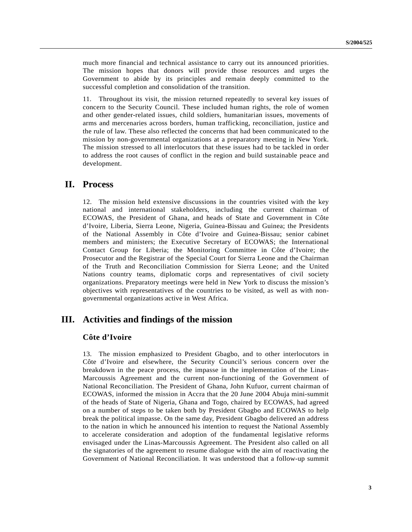much more financial and technical assistance to carry out its announced priorities. The mission hopes that donors will provide those resources and urges the Government to abide by its principles and remain deeply committed to the successful completion and consolidation of the transition.

11. Throughout its visit, the mission returned repeatedly to several key issues of concern to the Security Council. These included human rights, the role of women and other gender-related issues, child soldiers, humanitarian issues, movements of arms and mercenaries across borders, human trafficking, reconciliation, justice and the rule of law. These also reflected the concerns that had been communicated to the mission by non-governmental organizations at a preparatory meeting in New York. The mission stressed to all interlocutors that these issues had to be tackled in order to address the root causes of conflict in the region and build sustainable peace and development.

# **II. Process**

12. The mission held extensive discussions in the countries visited with the key national and international stakeholders, including the current chairman of ECOWAS, the President of Ghana, and heads of State and Government in Côte d'Ivoire, Liberia, Sierra Leone, Nigeria, Guinea-Bissau and Guinea; the Presidents of the National Assembly in Côte d'Ivoire and Guinea-Bissau; senior cabinet members and ministers; the Executive Secretary of ECOWAS; the International Contact Group for Liberia; the Monitoring Committee in Côte d'Ivoire; the Prosecutor and the Registrar of the Special Court for Sierra Leone and the Chairman of the Truth and Reconciliation Commission for Sierra Leone; and the United Nations country teams, diplomatic corps and representatives of civil society organizations. Preparatory meetings were held in New York to discuss the mission's objectives with representatives of the countries to be visited, as well as with nongovernmental organizations active in West Africa.

# **III. Activities and findings of the mission**

#### **Côte d'Ivoire**

13. The mission emphasized to President Gbagbo, and to other interlocutors in Côte d'Ivoire and elsewhere, the Security Council's serious concern over the breakdown in the peace process, the impasse in the implementation of the Linas-Marcoussis Agreement and the current non-functioning of the Government of National Reconciliation. The President of Ghana, John Kufuor, current chairman of ECOWAS, informed the mission in Accra that the 20 June 2004 Abuja mini-summit of the heads of State of Nigeria, Ghana and Togo, chaired by ECOWAS, had agreed on a number of steps to be taken both by President Gbagbo and ECOWAS to help break the political impasse. On the same day, President Gbagbo delivered an address to the nation in which he announced his intention to request the National Assembly to accelerate consideration and adoption of the fundamental legislative reforms envisaged under the Linas-Marcoussis Agreement. The President also called on all the signatories of the agreement to resume dialogue with the aim of reactivating the Government of National Reconciliation. It was understood that a follow-up summit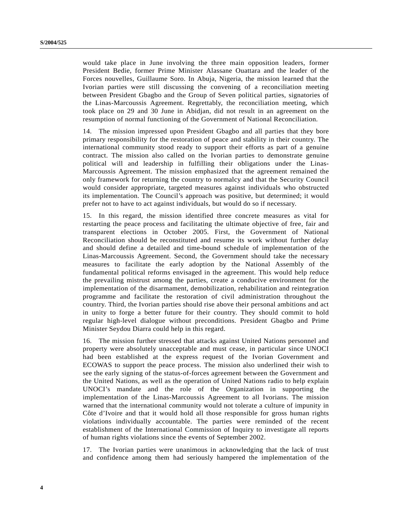would take place in June involving the three main opposition leaders, former President Bedie, former Prime Minister Alassane Ouattara and the leader of the Forces nouvelles, Guillaume Soro. In Abuja, Nigeria, the mission learned that the Ivorian parties were still discussing the convening of a reconciliation meeting between President Gbagbo and the Group of Seven political parties, signatories of the Linas-Marcoussis Agreement. Regrettably, the reconciliation meeting, which took place on 29 and 30 June in Abidjan, did not result in an agreement on the resumption of normal functioning of the Government of National Reconciliation.

14. The mission impressed upon President Gbagbo and all parties that they bore primary responsibility for the restoration of peace and stability in their country. The international community stood ready to support their efforts as part of a genuine contract. The mission also called on the Ivorian parties to demonstrate genuine political will and leadership in fulfilling their obligations under the Linas-Marcoussis Agreement. The mission emphasized that the agreement remained the only framework for returning the country to normalcy and that the Security Council would consider appropriate, targeted measures against individuals who obstructed its implementation. The Council's approach was positive, but determined; it would prefer not to have to act against individuals, but would do so if necessary.

15. In this regard, the mission identified three concrete measures as vital for restarting the peace process and facilitating the ultimate objective of free, fair and transparent elections in October 2005. First, the Government of National Reconciliation should be reconstituted and resume its work without further delay and should define a detailed and time-bound schedule of implementation of the Linas-Marcoussis Agreement. Second, the Government should take the necessary measures to facilitate the early adoption by the National Assembly of the fundamental political reforms envisaged in the agreement. This would help reduce the prevailing mistrust among the parties, create a conducive environment for the implementation of the disarmament, demobilization, rehabilitation and reintegration programme and facilitate the restoration of civil administration throughout the country. Third, the Ivorian parties should rise above their personal ambitions and act in unity to forge a better future for their country. They should commit to hold regular high-level dialogue without preconditions. President Gbagbo and Prime Minister Seydou Diarra could help in this regard.

16. The mission further stressed that attacks against United Nations personnel and property were absolutely unacceptable and must cease, in particular since UNOCI had been established at the express request of the Ivorian Government and ECOWAS to support the peace process. The mission also underlined their wish to see the early signing of the status-of-forces agreement between the Government and the United Nations, as well as the operation of United Nations radio to help explain UNOCI's mandate and the role of the Organization in supporting the implementation of the Linas-Marcoussis Agreement to all Ivorians. The mission warned that the international community would not tolerate a culture of impunity in Côte d'Ivoire and that it would hold all those responsible for gross human rights violations individually accountable. The parties were reminded of the recent establishment of the International Commission of Inquiry to investigate all reports of human rights violations since the events of September 2002.

17. The Ivorian parties were unanimous in acknowledging that the lack of trust and confidence among them had seriously hampered the implementation of the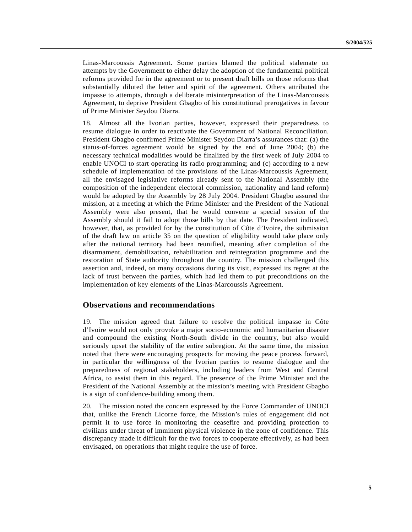Linas-Marcoussis Agreement. Some parties blamed the political stalemate on attempts by the Government to either delay the adoption of the fundamental political reforms provided for in the agreement or to present draft bills on those reforms that substantially diluted the letter and spirit of the agreement. Others attributed the impasse to attempts, through a deliberate misinterpretation of the Linas-Marcoussis Agreement, to deprive President Gbagbo of his constitutional prerogatives in favour of Prime Minister Seydou Diarra.

18. Almost all the Ivorian parties, however, expressed their preparedness to resume dialogue in order to reactivate the Government of National Reconciliation. President Gbagbo confirmed Prime Minister Seydou Diarra's assurances that: (a) the status-of-forces agreement would be signed by the end of June 2004; (b) the necessary technical modalities would be finalized by the first week of July 2004 to enable UNOCI to start operating its radio programming; and (c) according to a new schedule of implementation of the provisions of the Linas-Marcoussis Agreement, all the envisaged legislative reforms already sent to the National Assembly (the composition of the independent electoral commission, nationality and land reform) would be adopted by the Assembly by 28 July 2004. President Gbagbo assured the mission, at a meeting at which the Prime Minister and the President of the National Assembly were also present, that he would convene a special session of the Assembly should it fail to adopt those bills by that date. The President indicated, however, that, as provided for by the constitution of Côte d'Ivoire, the submission of the draft law on article 35 on the question of eligibility would take place only after the national territory had been reunified, meaning after completion of the disarmament, demobilization, rehabilitation and reintegration programme and the restoration of State authority throughout the country. The mission challenged this assertion and, indeed, on many occasions during its visit, expressed its regret at the lack of trust between the parties, which had led them to put preconditions on the implementation of key elements of the Linas-Marcoussis Agreement.

#### **Observations and recommendations**

19. The mission agreed that failure to resolve the political impasse in Côte d'Ivoire would not only provoke a major socio-economic and humanitarian disaster and compound the existing North-South divide in the country, but also would seriously upset the stability of the entire subregion. At the same time, the mission noted that there were encouraging prospects for moving the peace process forward, in particular the willingness of the Ivorian parties to resume dialogue and the preparedness of regional stakeholders, including leaders from West and Central Africa, to assist them in this regard. The presence of the Prime Minister and the President of the National Assembly at the mission's meeting with President Gbagbo is a sign of confidence-building among them.

20. The mission noted the concern expressed by the Force Commander of UNOCI that, unlike the French Licorne force, the Mission's rules of engagement did not permit it to use force in monitoring the ceasefire and providing protection to civilians under threat of imminent physical violence in the zone of confidence. This discrepancy made it difficult for the two forces to cooperate effectively, as had been envisaged, on operations that might require the use of force.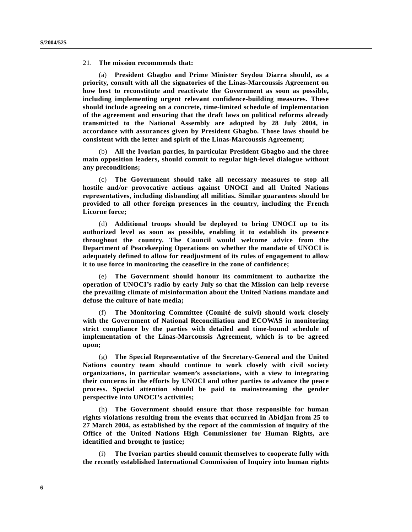21. **The mission recommends that:**

(a) **President Gbagbo and Prime Minister Seydou Diarra should, as a priority, consult with all the signatories of the Linas-Marcoussis Agreement on how best to reconstitute and reactivate the Government as soon as possible, including implementing urgent relevant confidence-building measures. These should include agreeing on a concrete, time-limited schedule of implementation of the agreement and ensuring that the draft laws on political reforms already transmitted to the National Assembly are adopted by 28 July 2004, in accordance with assurances given by President Gbagbo. Those laws should be consistent with the letter and spirit of the Linas-Marcoussis Agreement;**

(b) **All the Ivorian parties, in particular President Gbagbo and the three main opposition leaders, should commit to regular high-level dialogue without any preconditions;**

(c) **The Government should take all necessary measures to stop all hostile and/or provocative actions against UNOCI and all United Nations representatives, including disbanding all militias. Similar guarantees should be provided to all other foreign presences in the country, including the French Licorne force;**

(d) **Additional troops should be deployed to bring UNOCI up to its authorized level as soon as possible, enabling it to establish its presence throughout the country. The Council would welcome advice from the Department of Peacekeeping Operations on whether the mandate of UNOCI is adequately defined to allow for readjustment of its rules of engagement to allow it to use force in monitoring the ceasefire in the zone of confidence;**

(e) **The Government should honour its commitment to authorize the operation of UNOCI's radio by early July so that the Mission can help reverse the prevailing climate of misinformation about the United Nations mandate and defuse the culture of hate media;**

(f) **The Monitoring Committee (Comité de suivi) should work closely with the Government of National Reconciliation and ECOWAS in monitoring strict compliance by the parties with detailed and time-bound schedule of implementation of the Linas-Marcoussis Agreement, which is to be agreed upon;**

(g) **The Special Representative of the Secretary-General and the United Nations country team should continue to work closely with civil society organizations, in particular women's associations, with a view to integrating their concerns in the efforts by UNOCI and other parties to advance the peace process. Special attention should be paid to mainstreaming the gender perspective into UNOCI's activities;**

(h) **The Government should ensure that those responsible for human rights violations resulting from the events that occurred in Abidjan from 25 to 27 March 2004, as established by the report of the commission of inquiry of the Office of the United Nations High Commissioner for Human Rights, are identified and brought to justice;**

(i) **The Ivorian parties should commit themselves to cooperate fully with the recently established International Commission of Inquiry into human rights**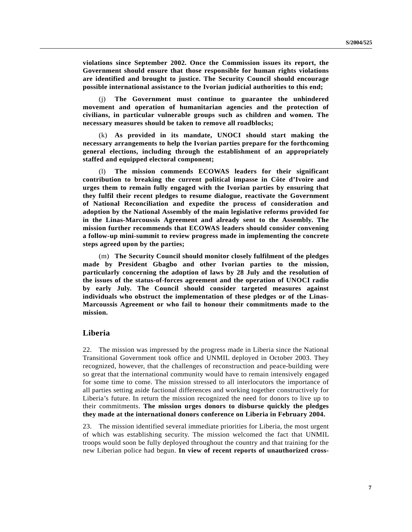**violations since September 2002. Once the Commission issues its report, the Government should ensure that those responsible for human rights violations are identified and brought to justice. The Security Council should encourage possible international assistance to the Ivorian judicial authorities to this end;**

(j) **The Government must continue to guarantee the unhindered movement and operation of humanitarian agencies and the protection of civilians, in particular vulnerable groups such as children and women. The necessary measures should be taken to remove all roadblocks;**

(k) **As provided in its mandate, UNOCI should start making the necessary arrangements to help the Ivorian parties prepare for the forthcoming general elections, including through the establishment of an appropriately staffed and equipped electoral component;**

(l) **The mission commends ECOWAS leaders for their significant contribution to breaking the current political impasse in Côte d'Ivoire and urges them to remain fully engaged with the Ivorian parties by ensuring that they fulfil their recent pledges to resume dialogue, reactivate the Government of National Reconciliation and expedite the process of consideration and adoption by the National Assembly of the main legislative reforms provided for in the Linas-Marcoussis Agreement and already sent to the Assembly. The mission further recommends that ECOWAS leaders should consider convening a follow-up mini-summit to review progress made in implementing the concrete steps agreed upon by the parties;**

(m) **The Security Council should monitor closely fulfilment of the pledges made by President Gbagbo and other Ivorian parties to the mission, particularly concerning the adoption of laws by 28 July and the resolution of the issues of the status-of-forces agreement and the operation of UNOCI radio by early July. The Council should consider targeted measures against individuals who obstruct the implementation of these pledges or of the Linas-Marcoussis Agreement or who fail to honour their commitments made to the mission.**

#### **Liberia**

22. The mission was impressed by the progress made in Liberia since the National Transitional Government took office and UNMIL deployed in October 2003. They recognized, however, that the challenges of reconstruction and peace-building were so great that the international community would have to remain intensively engaged for some time to come. The mission stressed to all interlocutors the importance of all parties setting aside factional differences and working together constructively for Liberia's future. In return the mission recognized the need for donors to live up to their commitments. **The mission urges donors to disburse quickly the pledges they made at the international donors conference on Liberia in February 2004.**

23. The mission identified several immediate priorities for Liberia, the most urgent of which was establishing security. The mission welcomed the fact that UNMIL troops would soon be fully deployed throughout the country and that training for the new Liberian police had begun. **In view of recent reports of unauthorized cross-**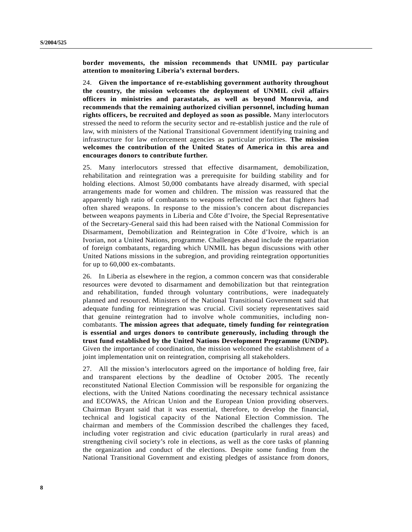**border movements, the mission recommends that UNMIL pay particular attention to monitoring Liberia's external borders.**

24. **Given the importance of re-establishing government authority throughout the country, the mission welcomes the deployment of UNMIL civil affairs officers in ministries and parastatals, as well as beyond Monrovia, and recommends that the remaining authorized civilian personnel, including human rights officers, be recruited and deployed as soon as possible.** Many interlocutors stressed the need to reform the security sector and re-establish justice and the rule of law, with ministers of the National Transitional Government identifying training and infrastructure for law enforcement agencies as particular priorities. **The mission welcomes the contribution of the United States of America in this area and encourages donors to contribute further.**

25. Many interlocutors stressed that effective disarmament, demobilization, rehabilitation and reintegration was a prerequisite for building stability and for holding elections. Almost 50,000 combatants have already disarmed, with special arrangements made for women and children. The mission was reassured that the apparently high ratio of combatants to weapons reflected the fact that fighters had often shared weapons. In response to the mission's concern about discrepancies between weapons payments in Liberia and Côte d'Ivoire, the Special Representative of the Secretary-General said this had been raised with the National Commission for Disarmament, Demobilization and Reintegration in Côte d'Ivoire, which is an Ivorian, not a United Nations, programme. Challenges ahead include the repatriation of foreign combatants, regarding which UNMIL has begun discussions with other United Nations missions in the subregion, and providing reintegration opportunities for up to 60,000 ex-combatants.

26. In Liberia as elsewhere in the region, a common concern was that considerable resources were devoted to disarmament and demobilization but that reintegration and rehabilitation, funded through voluntary contributions, were inadequately planned and resourced. Ministers of the National Transitional Government said that adequate funding for reintegration was crucial. Civil society representatives said that genuine reintegration had to involve whole communities, including noncombatants. **The mission agrees that adequate, timely funding for reintegration is essential and urges donors to contribute generously, including through the trust fund established by the United Nations Development Programme (UNDP).** Given the importance of coordination, the mission welcomed the establishment of a joint implementation unit on reintegration, comprising all stakeholders.

27. All the mission's interlocutors agreed on the importance of holding free, fair and transparent elections by the deadline of October 2005. The recently reconstituted National Election Commission will be responsible for organizing the elections, with the United Nations coordinating the necessary technical assistance and ECOWAS, the African Union and the European Union providing observers. Chairman Bryant said that it was essential, therefore, to develop the financial, technical and logistical capacity of the National Election Commission. The chairman and members of the Commission described the challenges they faced, including voter registration and civic education (particularly in rural areas) and strengthening civil society's role in elections, as well as the core tasks of planning the organization and conduct of the elections. Despite some funding from the National Transitional Government and existing pledges of assistance from donors,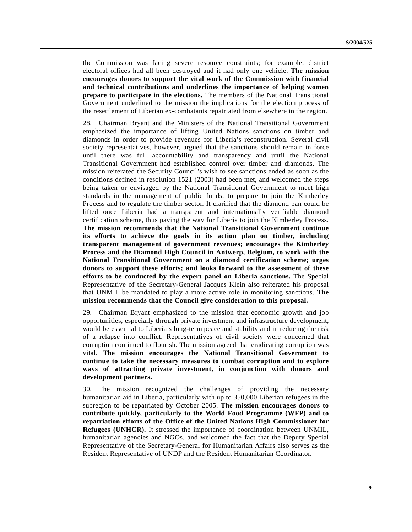the Commission was facing severe resource constraints; for example, district electoral offices had all been destroyed and it had only one vehicle. **The mission encourages donors to support the vital work of the Commission with financial and technical contributions and underlines the importance of helping women prepare to participate in the elections.** The members of the National Transitional Government underlined to the mission the implications for the election process of the resettlement of Liberian ex-combatants repatriated from elsewhere in the region.

28. Chairman Bryant and the Ministers of the National Transitional Government emphasized the importance of lifting United Nations sanctions on timber and diamonds in order to provide revenues for Liberia's reconstruction. Several civil society representatives, however, argued that the sanctions should remain in force until there was full accountability and transparency and until the National Transitional Government had established control over timber and diamonds. The mission reiterated the Security Council's wish to see sanctions ended as soon as the conditions defined in resolution 1521 (2003) had been met, and welcomed the steps being taken or envisaged by the National Transitional Government to meet high standards in the management of public funds, to prepare to join the Kimberley Process and to regulate the timber sector. It clarified that the diamond ban could be lifted once Liberia had a transparent and internationally verifiable diamond certification scheme, thus paving the way for Liberia to join the Kimberley Process. **The mission recommends that the National Transitional Government continue its efforts to achieve the goals in its action plan on timber, including transparent management of government revenues; encourages the Kimberley Process and the Diamond High Council in Antwerp, Belgium, to work with the National Transitional Government on a diamond certification scheme; urges donors to support these efforts; and looks forward to the assessment of these efforts to be conducted by the expert panel on Liberia sanctions.** The Special Representative of the Secretary-General Jacques Klein also reiterated his proposal that UNMIL be mandated to play a more active role in monitoring sanctions. **The mission recommends that the Council give consideration to this proposal.**

29. Chairman Bryant emphasized to the mission that economic growth and job opportunities, especially through private investment and infrastructure development, would be essential to Liberia's long-term peace and stability and in reducing the risk of a relapse into conflict. Representatives of civil society were concerned that corruption continued to flourish. The mission agreed that eradicating corruption was vital. **The mission encourages the National Transitional Government to continue to take the necessary measures to combat corruption and to explore ways of attracting private investment, in conjunction with donors and development partners.**

30. The mission recognized the challenges of providing the necessary humanitarian aid in Liberia, particularly with up to 350,000 Liberian refugees in the subregion to be repatriated by October 2005. **The mission encourages donors to contribute quickly, particularly to the World Food Programme (WFP) and to repatriation efforts of the Office of the United Nations High Commissioner for Refugees (UNHCR).** It stressed the importance of coordination between UNMIL, humanitarian agencies and NGOs, and welcomed the fact that the Deputy Special Representative of the Secretary-General for Humanitarian Affairs also serves as the Resident Representative of UNDP and the Resident Humanitarian Coordinator.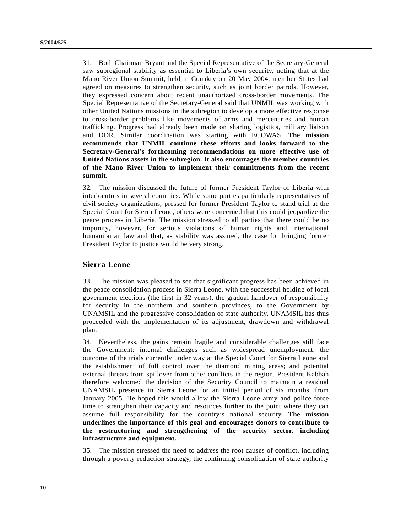31. Both Chairman Bryant and the Special Representative of the Secretary-General saw subregional stability as essential to Liberia's own security, noting that at the Mano River Union Summit, held in Conakry on 20 May 2004, member States had agreed on measures to strengthen security, such as joint border patrols. However, they expressed concern about recent unauthorized cross-border movements. The Special Representative of the Secretary-General said that UNMIL was working with other United Nations missions in the subregion to develop a more effective response to cross-border problems like movements of arms and mercenaries and human trafficking. Progress had already been made on sharing logistics, military liaison and DDR. Similar coordination was starting with ECOWAS. **The mission recommends that UNMIL continue these efforts and looks forward to the Secretary-General's forthcoming recommendations on more effective use of United Nations assets in the subregion. It also encourages the member countries of the Mano River Union to implement their commitments from the recent summit.**

32. The mission discussed the future of former President Taylor of Liberia with interlocutors in several countries. While some parties particularly representatives of civil society organizations, pressed for former President Taylor to stand trial at the Special Court for Sierra Leone, others were concerned that this could jeopardize the peace process in Liberia. The mission stressed to all parties that there could be no impunity, however, for serious violations of human rights and international humanitarian law and that, as stability was assured, the case for bringing former President Taylor to justice would be very strong.

### **Sierra Leone**

33. The mission was pleased to see that significant progress has been achieved in the peace consolidation process in Sierra Leone, with the successful holding of local government elections (the first in 32 years), the gradual handover of responsibility for security in the northern and southern provinces, to the Government by UNAMSIL and the progressive consolidation of state authority. UNAMSIL has thus proceeded with the implementation of its adjustment, drawdown and withdrawal plan.

34. Nevertheless, the gains remain fragile and considerable challenges still face the Government: internal challenges such as widespread unemployment, the outcome of the trials currently under way at the Special Court for Sierra Leone and the establishment of full control over the diamond mining areas; and potential external threats from spillover from other conflicts in the region. President Kabbah therefore welcomed the decision of the Security Council to maintain a residual UNAMSIL presence in Sierra Leone for an initial period of six months, from January 2005. He hoped this would allow the Sierra Leone army and police force time to strengthen their capacity and resources further to the point where they can assume full responsibility for the country's national security. **The mission underlines the importance of this goal and encourages donors to contribute to the restructuring and strengthening of the security sector, including infrastructure and equipment.**

35. The mission stressed the need to address the root causes of conflict, including through a poverty reduction strategy, the continuing consolidation of state authority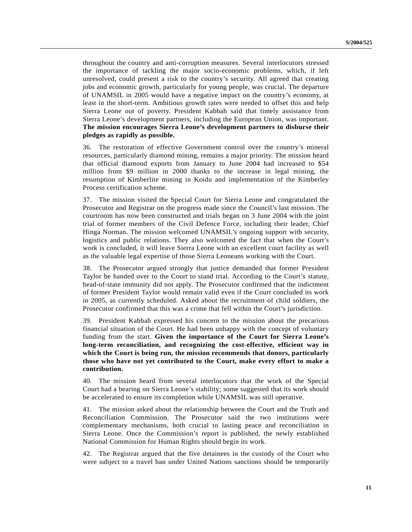throughout the country and anti-corruption measures. Several interlocutors stressed the importance of tackling the major socio-economic problems, which, if left unresolved, could present a risk to the country's security. All agreed that creating jobs and economic growth, particularly for young people, was crucial. The departure of UNAMSIL in 2005 would have a negative impact on the country's economy, at least in the short-term. Ambitious growth rates were needed to offset this and help Sierra Leone out of poverty. President Kabbah said that timely assistance from Sierra Leone's development partners, including the European Union, was important. **The mission encourages Sierra Leone's development partners to disburse their pledges as rapidly as possible.**

36. The restoration of effective Government control over the country's mineral resources, particularly diamond mining, remains a major priority. The mission heard that official diamond exports from January to June 2004 had increased to \$54 million from \$9 million in 2000 thanks to the increase in legal mining, the resumption of Kimberlite mining in Koidu and implementation of the Kimberley Process certification scheme.

37. The mission visited the Special Court for Sierra Leone and congratulated the Prosecutor and Registrar on the progress made since the Council's last mission. The courtroom has now been constructed and trials began on 3 June 2004 with the joint trial of former members of the Civil Defence Force, including their leader, Chief Hinga Norman. The mission welcomed UNAMSIL's ongoing support with security, logistics and public relations. They also welcomed the fact that when the Court's work is concluded, it will leave Sierra Leone with an excellent court facility as well as the valuable legal expertise of those Sierra Leoneans working with the Court.

38. The Prosecutor argued strongly that justice demanded that former President Taylor be handed over to the Court to stand trial. According to the Court's statute, head-of-state immunity did not apply. The Prosecutor confirmed that the indictment of former President Taylor would remain valid even if the Court concluded its work in 2005, as currently scheduled. Asked about the recruitment of child soldiers, the Prosecutor confirmed that this was a crime that fell within the Court's jurisdiction.

39. President Kabbah expressed his concern to the mission about the precarious financial situation of the Court. He had been unhappy with the concept of voluntary funding from the start. **Given the importance of the Court for Sierra Leone's long-term reconciliation, and recognizing the cost-effective, efficient way in which the Court is being run, the mission recommends that donors, particularly those who have not yet contributed to the Court, make every effort to make a contribution.**

40. The mission heard from several interlocutors that the work of the Special Court had a bearing on Sierra Leone's stability; some suggested that its work should be accelerated to ensure its completion while UNAMSIL was still operative.

41. The mission asked about the relationship between the Court and the Truth and Reconciliation Commission. The Prosecutor said the two institutions were complementary mechanisms, both crucial to lasting peace and reconciliation in Sierra Leone. Once the Commission's report is published, the newly established National Commission for Human Rights should begin its work.

42. The Registrar argued that the five detainees in the custody of the Court who were subject to a travel ban under United Nations sanctions should be temporarily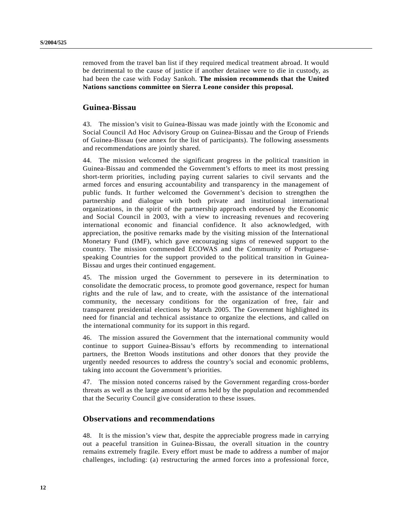removed from the travel ban list if they required medical treatment abroad. It would be detrimental to the cause of justice if another detainee were to die in custody, as had been the case with Foday Sankoh. **The mission recommends that the United Nations sanctions committee on Sierra Leone consider this proposal.**

#### **Guinea-Bissau**

43. The mission's visit to Guinea-Bissau was made jointly with the Economic and Social Council Ad Hoc Advisory Group on Guinea-Bissau and the Group of Friends of Guinea-Bissau (see annex for the list of participants). The following assessments and recommendations are jointly shared.

44. The mission welcomed the significant progress in the political transition in Guinea-Bissau and commended the Government's efforts to meet its most pressing short-term priorities, including paying current salaries to civil servants and the armed forces and ensuring accountability and transparency in the management of public funds. It further welcomed the Government's decision to strengthen the partnership and dialogue with both private and institutional international organizations, in the spirit of the partnership approach endorsed by the Economic and Social Council in 2003, with a view to increasing revenues and recovering international economic and financial confidence. It also acknowledged, with appreciation, the positive remarks made by the visiting mission of the International Monetary Fund (IMF), which gave encouraging signs of renewed support to the country. The mission commended ECOWAS and the Community of Portuguesespeaking Countries for the support provided to the political transition in Guinea-Bissau and urges their continued engagement.

45. The mission urged the Government to persevere in its determination to consolidate the democratic process, to promote good governance, respect for human rights and the rule of law, and to create, with the assistance of the international community, the necessary conditions for the organization of free, fair and transparent presidential elections by March 2005. The Government highlighted its need for financial and technical assistance to organize the elections, and called on the international community for its support in this regard.

46. The mission assured the Government that the international community would continue to support Guinea-Bissau's efforts by recommending to international partners, the Bretton Woods institutions and other donors that they provide the urgently needed resources to address the country's social and economic problems, taking into account the Government's priorities.

47. The mission noted concerns raised by the Government regarding cross-border threats as well as the large amount of arms held by the population and recommended that the Security Council give consideration to these issues.

### **Observations and recommendations**

48. It is the mission's view that, despite the appreciable progress made in carrying out a peaceful transition in Guinea-Bissau, the overall situation in the country remains extremely fragile. Every effort must be made to address a number of major challenges, including: (a) restructuring the armed forces into a professional force,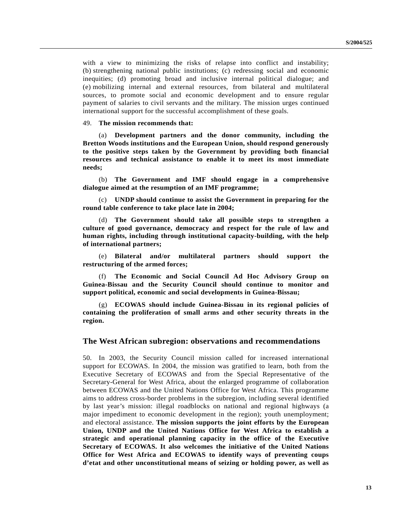with a view to minimizing the risks of relapse into conflict and instability; (b) strengthening national public institutions; (c) redressing social and economic inequities; (d) promoting broad and inclusive internal political dialogue; and (e) mobilizing internal and external resources, from bilateral and multilateral sources, to promote social and economic development and to ensure regular payment of salaries to civil servants and the military. The mission urges continued international support for the successful accomplishment of these goals.

49. **The mission recommends that:**

(a) **Development partners and the donor community, including the Bretton Woods institutions and the European Union, should respond generously to the positive steps taken by the Government by providing both financial resources and technical assistance to enable it to meet its most immediate needs;**

(b) **The Government and IMF should engage in a comprehensive dialogue aimed at the resumption of an IMF programme;**

(c) **UNDP should continue to assist the Government in preparing for the round table conference to take place late in 2004;**

(d) **The Government should take all possible steps to strengthen a culture of good governance, democracy and respect for the rule of law and human rights, including through institutional capacity-building, with the help of international partners;**

(e) **Bilateral and/or multilateral partners should support the restructuring of the armed forces;**

(f) **The Economic and Social Council Ad Hoc Advisory Group on Guinea-Bissau and the Security Council should continue to monitor and support political, economic and social developments in Guinea-Bissau;**

(g) **ECOWAS should include Guinea-Bissau in its regional policies of containing the proliferation of small arms and other security threats in the region.**

#### **The West African subregion: observations and recommendations**

50. In 2003, the Security Council mission called for increased international support for ECOWAS. In 2004, the mission was gratified to learn, both from the Executive Secretary of ECOWAS and from the Special Representative of the Secretary-General for West Africa, about the enlarged programme of collaboration between ECOWAS and the United Nations Office for West Africa. This programme aims to address cross-border problems in the subregion, including several identified by last year's mission: illegal roadblocks on national and regional highways (a major impediment to economic development in the region); youth unemployment; and electoral assistance. **The mission supports the joint efforts by the European Union, UNDP and the United Nations Office for West Africa to establish a strategic and operational planning capacity in the office of the Executive Secretary of ECOWAS. It also welcomes the initiative of the United Nations Office for West Africa and ECOWAS to identify ways of preventing coups d'etat and other unconstitutional means of seizing or holding power, as well as**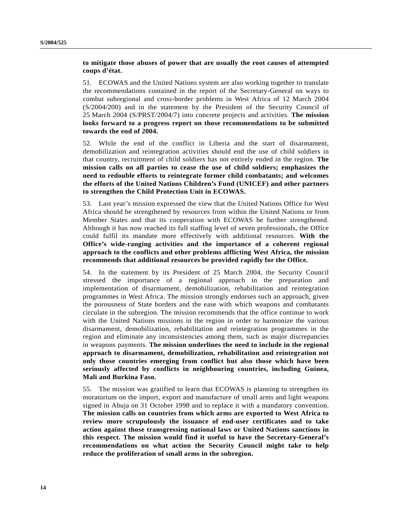#### **to mitigate those abuses of power that are usually the root causes of attempted coups d'état.**

51. ECOWAS and the United Nations system are also working together to translate the recommendations contained in the report of the Secretary-General on ways to combat subregional and cross-border problems in West Africa of 12 March 2004 (S/2004/200) and in the statement by the President of the Security Council of 25 March 2004 (S/PRST/2004/7) into concrete projects and activities. **The mission looks forward to a progress report on those recommendations to be submitted towards the end of 2004.**

52. While the end of the conflict in Liberia and the start of disarmament, demobilization and reintegration activities should end the use of child soldiers in that country, recruitment of child soldiers has not entirely ended in the region. **The mission calls on all parties to cease the use of child soldiers; emphasizes the need to redouble efforts to reintegrate former child combatants; and welcomes the efforts of the United Nations Children's Fund (UNICEF) and other partners to strengthen the Child Protection Unit in ECOWAS.**

53. Last year's mission expressed the view that the United Nations Office for West Africa should be strengthened by resources from within the United Nations or from Member States and that its cooperation with ECOWAS be further strengthened. Although it has now reached its full staffing level of seven professionals, the Office could fulfil its mandate more effectively with additional resources. **With the Office's wide-ranging activities and the importance of a coherent regional approach to the conflicts and other problems afflicting West Africa, the mission recommends that additional resources be provided rapidly for the Office.**

54. In the statement by its President of 25 March 2004, the Security Council stressed the importance of a regional approach in the preparation and implementation of disarmament, demobilization, rehabilitation and reintegration programmes in West Africa. The mission strongly endorses such an approach, given the porousness of State borders and the ease with which weapons and combatants circulate in the subregion. The mission recommends that the office continue to work with the United Nations missions in the region in order to harmonize the various disarmament, demobilization, rehabilitation and reintegration programmes in the region and eliminate any inconsistencies among them, such as major discrepancies in weapons payments. **The mission underlines the need to include in the regional approach to disarmament, demobilization, rehabilitation and reintegration not only those countries emerging from conflict but also those which have been seriously affected by conflicts in neighbouring countries, including Guinea, Mali and Burkina Faso.**

55. The mission was gratified to learn that ECOWAS is planning to strengthen its moratorium on the import, export and manufacture of small arms and light weapons signed in Abuja on 31 October 1998 and to replace it with a mandatory convention. **The mission calls on countries from which arms are exported to West Africa to review more scrupulously the issuance of end-user certificates and to take action against those transgressing national laws or United Nations sanctions in this respect. The mission would find it useful to have the Secretary-General's recommendations on what action the Security Council might take to help reduce the proliferation of small arms in the subregion.**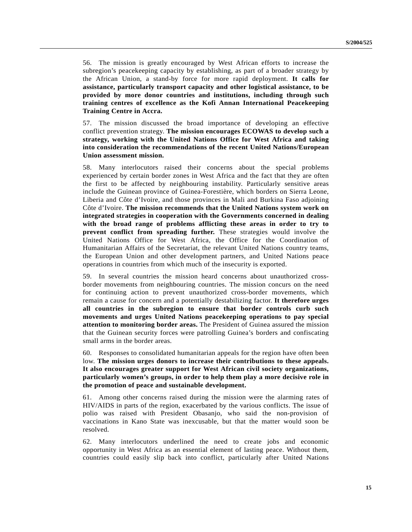56. The mission is greatly encouraged by West African efforts to increase the subregion's peacekeeping capacity by establishing, as part of a broader strategy by the African Union, a stand-by force for more rapid deployment. **It calls for assistance, particularly transport capacity and other logistical assistance, to be provided by more donor countries and institutions, including through such training centres of excellence as the Kofi Annan International Peacekeeping Training Centre in Accra.**

57. The mission discussed the broad importance of developing an effective conflict prevention strategy. **The mission encourages ECOWAS to develop such a strategy, working with the United Nations Office for West Africa and taking into consideration the recommendations of the recent United Nations/European Union assessment mission.**

58. Many interlocutors raised their concerns about the special problems experienced by certain border zones in West Africa and the fact that they are often the first to be affected by neighbouring instability. Particularly sensitive areas include the Guinean province of Guinea-Forestière, which borders on Sierra Leone, Liberia and Côte d'Ivoire, and those provinces in Mali and Burkina Faso adjoining Côte d'Ivoire. **The mission recommends that the United Nations system work on integrated strategies in cooperation with the Governments concerned in dealing with the broad range of problems afflicting these areas in order to try to prevent conflict from spreading further.** These strategies would involve the United Nations Office for West Africa, the Office for the Coordination of Humanitarian Affairs of the Secretariat, the relevant United Nations country teams, the European Union and other development partners, and United Nations peace operations in countries from which much of the insecurity is exported.

59. In several countries the mission heard concerns about unauthorized crossborder movements from neighbouring countries. The mission concurs on the need for continuing action to prevent unauthorized cross-border movements, which remain a cause for concern and a potentially destabilizing factor. **It therefore urges all countries in the subregion to ensure that border controls curb such movements and urges United Nations peacekeeping operations to pay special attention to monitoring border areas.** The President of Guinea assured the mission that the Guinean security forces were patrolling Guinea's borders and confiscating small arms in the border areas.

60. Responses to consolidated humanitarian appeals for the region have often been low. **The mission urges donors to increase their contributions to these appeals. It also encourages greater support for West African civil society organizations, particularly women's groups, in order to help them play a more decisive role in the promotion of peace and sustainable development.**

61. Among other concerns raised during the mission were the alarming rates of HIV/AIDS in parts of the region, exacerbated by the various conflicts. The issue of polio was raised with President Obasanjo, who said the non-provision of vaccinations in Kano State was inexcusable, but that the matter would soon be resolved.

62. Many interlocutors underlined the need to create jobs and economic opportunity in West Africa as an essential element of lasting peace. Without them, countries could easily slip back into conflict, particularly after United Nations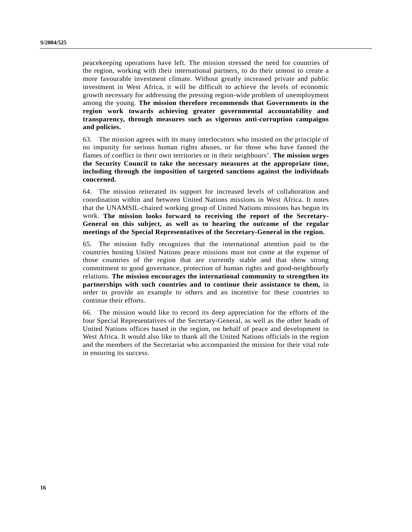peacekeeping operations have left. The mission stressed the need for countries of the region, working with their international partners, to do their utmost to create a more favourable investment climate. Without greatly increased private and public investment in West Africa, it will be difficult to achieve the levels of economic growth necessary for addressing the pressing region-wide problem of unemployment among the young. **The mission therefore recommends that Governments in the region work towards achieving greater governmental accountability and transparency, through measures such as vigorous anti-corruption campaigns and policies.**

63. The mission agrees with its many interlocutors who insisted on the principle of no impunity for serious human rights abuses, or for those who have fanned the flames of conflict in their own territories or in their neighbours'. **The mission urges the Security Council to take the necessary measures at the appropriate time, including through the imposition of targeted sanctions against the individuals concerned.**

64. The mission reiterated its support for increased levels of collaboration and coordination within and between United Nations missions in West Africa. It notes that the UNAMSIL-chaired working group of United Nations missions has begun its work. **The mission looks forward to receiving the report of the Secretary-General on this subject, as well as to hearing the outcome of the regular meetings of the Special Representatives of the Secretary-General in the region.**

65. The mission fully recognizes that the international attention paid to the countries hosting United Nations peace missions must not come at the expense of those countries of the region that are currently stable and that show strong commitment to good governance, protection of human rights and good-neighbourly relations. **The mission encourages the international community to strengthen its partnerships with such countries and to continue their assistance to them,** in order to provide an example to others and an incentive for these countries to continue their efforts.

66. The mission would like to record its deep appreciation for the efforts of the four Special Representatives of the Secretary-General, as well as the other heads of United Nations offices based in the region, on behalf of peace and development in West Africa. It would also like to thank all the United Nations officials in the region and the members of the Secretariat who accompanied the mission for their vital role in ensuring its success.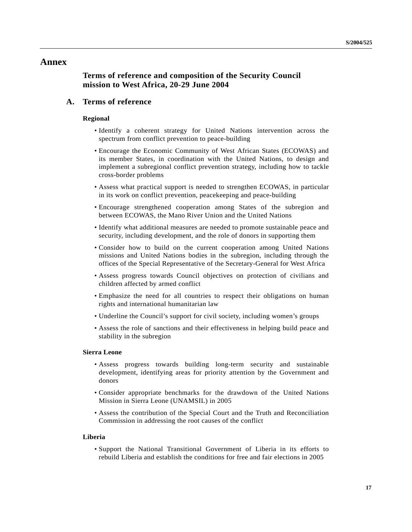## **Annex**

## **Terms of reference and composition of the Security Council mission to West Africa, 20-29 June 2004**

## **A. Terms of reference**

#### **Regional**

- Identify a coherent strategy for United Nations intervention across the spectrum from conflict prevention to peace-building
- Encourage the Economic Community of West African States (ECOWAS) and its member States, in coordination with the United Nations, to design and implement a subregional conflict prevention strategy, including how to tackle cross-border problems
- Assess what practical support is needed to strengthen ECOWAS, in particular in its work on conflict prevention, peacekeeping and peace-building
- Encourage strengthened cooperation among States of the subregion and between ECOWAS, the Mano River Union and the United Nations
- Identify what additional measures are needed to promote sustainable peace and security, including development, and the role of donors in supporting them
- Consider how to build on the current cooperation among United Nations missions and United Nations bodies in the subregion, including through the offices of the Special Representative of the Secretary-General for West Africa
- Assess progress towards Council objectives on protection of civilians and children affected by armed conflict
- Emphasize the need for all countries to respect their obligations on human rights and international humanitarian law
- Underline the Council's support for civil society, including women's groups
- Assess the role of sanctions and their effectiveness in helping build peace and stability in the subregion

#### **Sierra Leone**

- Assess progress towards building long-term security and sustainable development, identifying areas for priority attention by the Government and donors
- Consider appropriate benchmarks for the drawdown of the United Nations Mission in Sierra Leone (UNAMSIL) in 2005
- Assess the contribution of the Special Court and the Truth and Reconciliation Commission in addressing the root causes of the conflict

#### **Liberia**

• Support the National Transitional Government of Liberia in its efforts to rebuild Liberia and establish the conditions for free and fair elections in 2005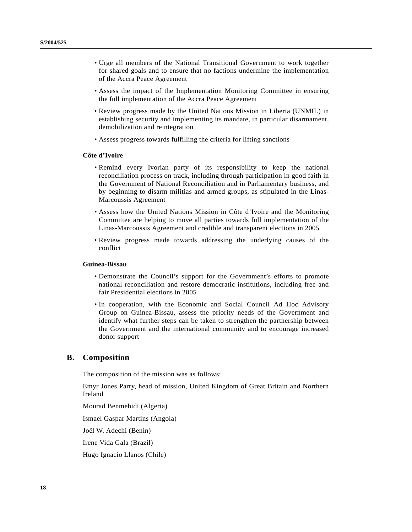- Urge all members of the National Transitional Government to work together for shared goals and to ensure that no factions undermine the implementation of the Accra Peace Agreement
- Assess the impact of the Implementation Monitoring Committee in ensuring the full implementation of the Accra Peace Agreement
- Review progress made by the United Nations Mission in Liberia (UNMIL) in establishing security and implementing its mandate, in particular disarmament, demobilization and reintegration
- Assess progress towards fulfilling the criteria for lifting sanctions

#### **Côte d'Ivoire**

- Remind every Ivorian party of its responsibility to keep the national reconciliation process on track, including through participation in good faith in the Government of National Reconciliation and in Parliamentary business, and by beginning to disarm militias and armed groups, as stipulated in the Linas-Marcoussis Agreement
- Assess how the United Nations Mission in Côte d'Ivoire and the Monitoring Committee are helping to move all parties towards full implementation of the Linas-Marcoussis Agreement and credible and transparent elections in 2005
- Review progress made towards addressing the underlying causes of the conflict

#### **Guinea-Bissau**

- Demonstrate the Council's support for the Government's efforts to promote national reconciliation and restore democratic institutions, including free and fair Presidential elections in 2005
- In cooperation, with the Economic and Social Council Ad Hoc Advisory Group on Guinea-Bissau, assess the priority needs of the Government and identify what further steps can be taken to strengthen the partnership between the Government and the international community and to encourage increased donor support

### **B. Composition**

The composition of the mission was as follows:

Emyr Jones Parry, head of mission, United Kingdom of Great Britain and Northern Ireland

Mourad Benmehidi (Algeria)

Ismael Gaspar Martins (Angola)

Joël W. Adechi (Benin)

Irene Vida Gala (Brazil)

Hugo Ignacio Llanos (Chile)